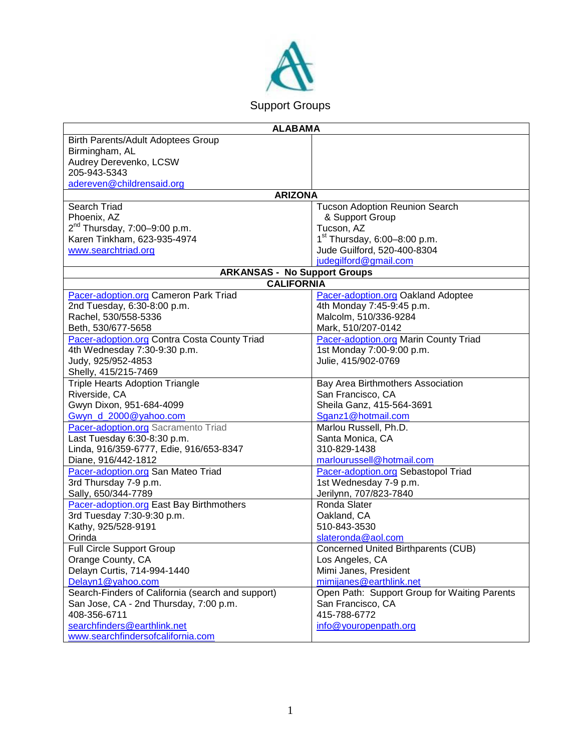

| <b>ALABAMA</b>                                                         |                                                                  |
|------------------------------------------------------------------------|------------------------------------------------------------------|
| Birth Parents/Adult Adoptees Group                                     |                                                                  |
| Birmingham, AL                                                         |                                                                  |
| Audrey Derevenko, LCSW                                                 |                                                                  |
| 205-943-5343                                                           |                                                                  |
| adereven@childrensaid.org                                              |                                                                  |
| <b>ARIZONA</b>                                                         |                                                                  |
| Search Triad                                                           | <b>Tucson Adoption Reunion Search</b>                            |
| Phoenix, AZ                                                            | & Support Group                                                  |
| $2^{nd}$ Thursday, 7:00-9:00 p.m.                                      | Tucson, AZ                                                       |
| Karen Tinkham, 623-935-4974                                            | $1st$ Thursday, 6:00-8:00 p.m.                                   |
| www.searchtriad.org                                                    | Jude Guilford, 520-400-8304                                      |
|                                                                        | judegilford@gmail.com                                            |
| <b>ARKANSAS - No Support Groups</b>                                    |                                                                  |
| <b>CALIFORNIA</b>                                                      |                                                                  |
| Pacer-adoption.org Cameron Park Triad                                  | <b>Pacer-adoption.org Oakland Adoptee</b>                        |
| 2nd Tuesday, 6:30-8:00 p.m.                                            | 4th Monday 7:45-9:45 p.m.                                        |
| Rachel, 530/558-5336                                                   | Malcolm, 510/336-9284                                            |
| Beth, 530/677-5658                                                     | Mark, 510/207-0142                                               |
| Pacer-adoption.org Contra Costa County Triad                           | <b>Pacer-adoption.org Marin County Triad</b>                     |
| 4th Wednesday 7:30-9:30 p.m.                                           | 1st Monday 7:00-9:00 p.m.                                        |
| Judy, 925/952-4853                                                     | Julie, 415/902-0769                                              |
| Shelly, 415/215-7469                                                   |                                                                  |
| <b>Triple Hearts Adoption Triangle</b>                                 | Bay Area Birthmothers Association                                |
| Riverside, CA                                                          | San Francisco, CA                                                |
| Gwyn Dixon, 951-684-4099                                               | Sheila Ganz, 415-564-3691                                        |
| Gwyn d 2000@yahoo.com                                                  | Sganz1@hotmail.com                                               |
| Pacer-adoption.org Sacramento Triad                                    | Marlou Russell, Ph.D.                                            |
| Last Tuesday 6:30-8:30 p.m.                                            | Santa Monica, CA                                                 |
| Linda, 916/359-6777, Edie, 916/653-8347                                | 310-829-1438                                                     |
| Diane, 916/442-1812                                                    | marlourussell@hotmail.com                                        |
| Pacer-adoption.org San Mateo Triad                                     | Pacer-adoption.org Sebastopol Triad                              |
| 3rd Thursday 7-9 p.m.<br>Sally, 650/344-7789                           | 1st Wednesday 7-9 p.m.                                           |
|                                                                        | Jerilynn, 707/823-7840<br>Ronda Slater                           |
| Pacer-adoption.org East Bay Birthmothers<br>3rd Tuesday 7:30-9:30 p.m. | Oakland, CA                                                      |
| Kathy, 925/528-9191                                                    | 510-843-3530                                                     |
| Orinda                                                                 |                                                                  |
| Full Circle Support Group                                              | slateronda@aol.com<br><b>Concerned United Birthparents (CUB)</b> |
| Orange County, CA                                                      | Los Angeles, CA                                                  |
| Delayn Curtis, 714-994-1440                                            | Mimi Janes, President                                            |
| Delayn1@yahoo.com                                                      | mimijanes@earthlink.net                                          |
| Search-Finders of California (search and support)                      | Open Path: Support Group for Waiting Parents                     |
| San Jose, CA - 2nd Thursday, 7:00 p.m.                                 | San Francisco, CA                                                |
| 408-356-6711                                                           | 415-788-6772                                                     |
| searchfinders@earthlink.net                                            | info@youropenpath.org                                            |
| www.searchfindersofcalifornia.com                                      |                                                                  |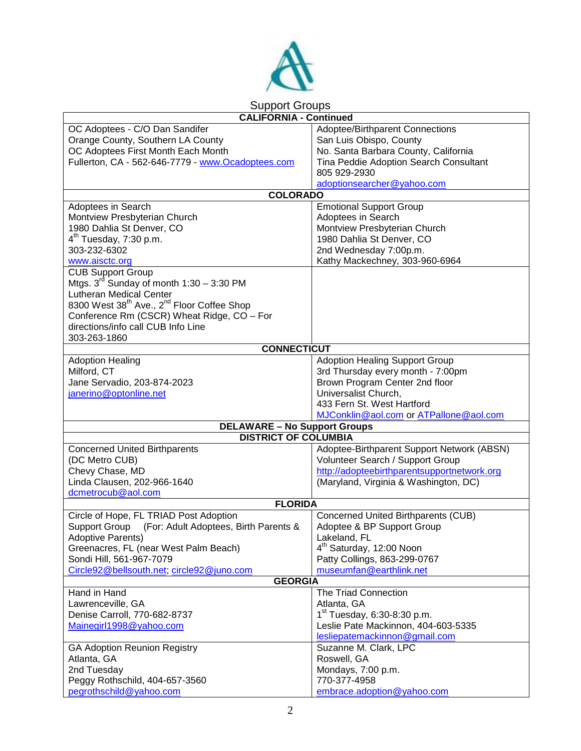

## Support Groups

| <b>CALIFORNIA - Continued</b>                                      |                                             |  |
|--------------------------------------------------------------------|---------------------------------------------|--|
| OC Adoptees - C/O Dan Sandifer                                     | Adoptee/Birthparent Connections             |  |
| Orange County, Southern LA County                                  | San Luis Obispo, County                     |  |
| OC Adoptees First Month Each Month                                 | No. Santa Barbara County, California        |  |
| Fullerton, CA - 562-646-7779 - www.Ocadoptees.com                  | Tina Peddie Adoption Search Consultant      |  |
|                                                                    | 805 929-2930                                |  |
|                                                                    |                                             |  |
| <b>COLORADO</b>                                                    | adoptionsearcher@yahoo.com                  |  |
|                                                                    |                                             |  |
| Adoptees in Search                                                 | <b>Emotional Support Group</b>              |  |
| Montview Presbyterian Church                                       | Adoptees in Search                          |  |
| 1980 Dahlia St Denver, CO                                          | Montview Presbyterian Church                |  |
| 4 <sup>th</sup> Tuesday, 7:30 p.m.                                 | 1980 Dahlia St Denver, CO                   |  |
| 303-232-6302                                                       | 2nd Wednesday 7:00p.m.                      |  |
| www.aisctc.org                                                     | Kathy Mackechney, 303-960-6964              |  |
| <b>CUB Support Group</b>                                           |                                             |  |
| Mtgs. $3^{rd}$ Sunday of month $1:30 - 3:30$ PM                    |                                             |  |
| <b>Lutheran Medical Center</b>                                     |                                             |  |
| 8300 West 38 <sup>th</sup> Ave., 2 <sup>nd</sup> Floor Coffee Shop |                                             |  |
| Conference Rm (CSCR) Wheat Ridge, CO - For                         |                                             |  |
| directions/info call CUB Info Line                                 |                                             |  |
| 303-263-1860                                                       |                                             |  |
| <b>CONNECTICUT</b>                                                 |                                             |  |
| <b>Adoption Healing</b>                                            | <b>Adoption Healing Support Group</b>       |  |
| Milford, CT                                                        | 3rd Thursday every month - 7:00pm           |  |
| Jane Servadio, 203-874-2023                                        | Brown Program Center 2nd floor              |  |
| janerino@optonline.net                                             | Universalist Church,                        |  |
|                                                                    | 433 Fern St. West Hartford                  |  |
|                                                                    | MJConklin@aol.com or ATPallone@aol.com      |  |
| <b>DELAWARE - No Support Groups</b>                                |                                             |  |
| <b>DISTRICT OF COLUMBIA</b>                                        |                                             |  |
| <b>Concerned United Birthparents</b>                               | Adoptee-Birthparent Support Network (ABSN)  |  |
| (DC Metro CUB)                                                     | Volunteer Search / Support Group            |  |
| Chevy Chase, MD                                                    | http://adopteebirthparentsupportnetwork.org |  |
| Linda Clausen, 202-966-1640                                        | (Maryland, Virginia & Washington, DC)       |  |
| dcmetrocub@aol.com                                                 |                                             |  |
| <b>FLORIDA</b>                                                     |                                             |  |
| Circle of Hope, FL TRIAD Post Adoption                             | <b>Concerned United Birthparents (CUB)</b>  |  |
| Support Group (For: Adult Adoptees, Birth Parents &                | Adoptee & BP Support Group                  |  |
| <b>Adoptive Parents)</b>                                           | Lakeland, FL                                |  |
| Greenacres, FL (near West Palm Beach)                              | 4 <sup>th</sup> Saturday, 12:00 Noon        |  |
| Sondi Hill, 561-967-7079                                           | Patty Collings, 863-299-0767                |  |
| Circle92@bellsouth.net; circle92@juno.com                          | museumfan@earthlink.net                     |  |
| <b>GEORGIA</b>                                                     |                                             |  |
| Hand in Hand<br>The Triad Connection                               |                                             |  |
| Lawrenceville, GA                                                  | Atlanta, GA                                 |  |
| Denise Carroll, 770-682-8737                                       | 1 <sup>st</sup> Tuesday, 6:30-8:30 p.m.     |  |
| Mainegirl1998@yahoo.com                                            | Leslie Pate Mackinnon, 404-603-5335         |  |
|                                                                    | lesliepatemackinnon@gmail.com               |  |
| <b>GA Adoption Reunion Registry</b>                                |                                             |  |
|                                                                    | Suzanne M. Clark, LPC                       |  |
| Atlanta, GA                                                        | Roswell, GA                                 |  |
| 2nd Tuesday                                                        | Mondays, 7:00 p.m.                          |  |
| Peggy Rothschild, 404-657-3560                                     | 770-377-4958                                |  |
| pegrothschild@yahoo.com                                            | embrace.adoption@yahoo.com                  |  |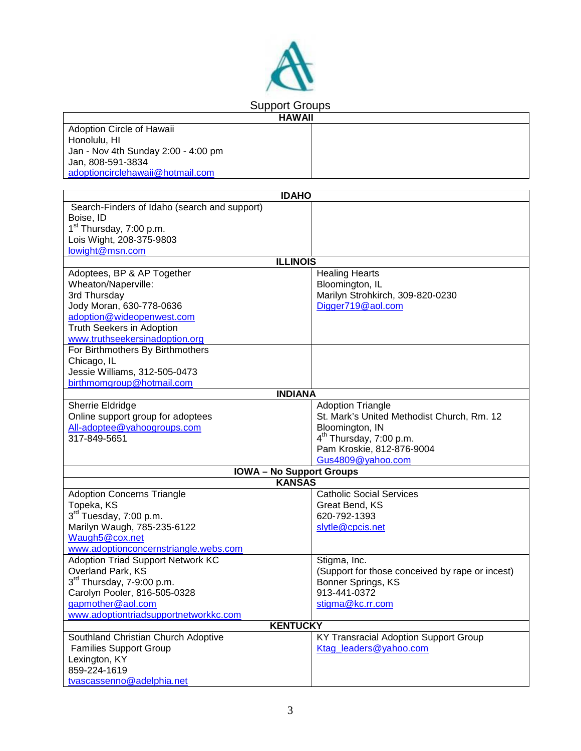

Adoption Circle of Hawaii Honolulu, HI Jan - Nov 4th Sunday 2:00 - 4:00 pm Jan, 808-591-3834 [adoptioncirclehawaii@hotmail.com](mailto:adoptioncirclehawaii@hotmail.com)

| <b>IDAHO</b>                                             |                                                 |
|----------------------------------------------------------|-------------------------------------------------|
| Search-Finders of Idaho (search and support)             |                                                 |
| Boise, ID                                                |                                                 |
| 1 <sup>st</sup> Thursday, 7:00 p.m.                      |                                                 |
| Lois Wight, 208-375-9803                                 |                                                 |
| lowight@msn.com                                          |                                                 |
| <b>ILLINOIS</b>                                          |                                                 |
| Adoptees, BP & AP Together                               | <b>Healing Hearts</b>                           |
| Wheaton/Naperville:                                      | Bloomington, IL                                 |
| 3rd Thursday                                             | Marilyn Strohkirch, 309-820-0230                |
| Jody Moran, 630-778-0636                                 | Digger719@aol.com                               |
| adoption@wideopenwest.com                                |                                                 |
| Truth Seekers in Adoption                                |                                                 |
| www.truthseekersinadoption.org                           |                                                 |
| For Birthmothers By Birthmothers                         |                                                 |
| Chicago, IL                                              |                                                 |
| Jessie Williams, 312-505-0473                            |                                                 |
| birthmomgroup@hotmail.com                                |                                                 |
| <b>INDIANA</b>                                           |                                                 |
| Sherrie Eldridge                                         | <b>Adoption Triangle</b>                        |
| Online support group for adoptees                        | St. Mark's United Methodist Church, Rm. 12      |
| All-adoptee@yahoogroups.com                              | Bloomington, IN                                 |
| 317-849-5651                                             | 4 <sup>th</sup> Thursday, 7:00 p.m.             |
|                                                          | Pam Kroskie, 812-876-9004                       |
|                                                          | Gus4809@yahoo.com                               |
| <b>IOWA- No Support Groups</b>                           |                                                 |
| <b>KANSAS</b>                                            |                                                 |
| <b>Adoption Concerns Triangle</b>                        | <b>Catholic Social Services</b>                 |
| Topeka, KS                                               | Great Bend, KS                                  |
| 3rd Tuesday, 7:00 p.m.                                   | 620-792-1393                                    |
| Marilyn Waugh, 785-235-6122                              | slytle@cpcis.net                                |
| Waugh5@cox.net                                           |                                                 |
| www.adoptionconcernstriangle.webs.com                    |                                                 |
| <b>Adoption Triad Support Network KC</b>                 | Stigma, Inc.                                    |
| Overland Park, KS                                        | (Support for those conceived by rape or incest) |
| $3rd$ Thursday, 7-9:00 p.m.                              | Bonner Springs, KS<br>913-441-0372              |
| Carolyn Pooler, 816-505-0328<br>qapmother@aol.com        | stigma@kc.rr.com                                |
|                                                          |                                                 |
| www.adoptiontriadsupportnetworkkc.com<br><b>KENTUCKY</b> |                                                 |
| Southland Christian Church Adoptive                      | <b>KY Transracial Adoption Support Group</b>    |
| <b>Families Support Group</b>                            | Ktag leaders@yahoo.com                          |
| Lexington, KY                                            |                                                 |
| 859-224-1619                                             |                                                 |
|                                                          |                                                 |
| tvascassenno@adelphia.net                                |                                                 |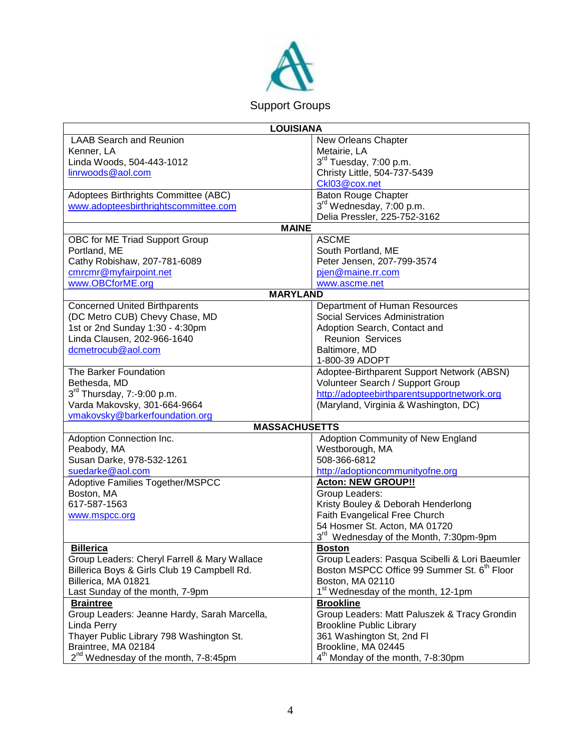

| <b>LOUISIANA</b>                                 |                                                         |
|--------------------------------------------------|---------------------------------------------------------|
| <b>LAAB Search and Reunion</b>                   | New Orleans Chapter                                     |
| Kenner, LA                                       | Metairie, LA                                            |
| Linda Woods, 504-443-1012                        | 3rd Tuesday, 7:00 p.m.                                  |
| linrwoods@aol.com                                | Christy Little, 504-737-5439                            |
|                                                  | Ckl03@cox.net                                           |
| Adoptees Birthrights Committee (ABC)             | <b>Baton Rouge Chapter</b>                              |
| www.adopteesbirthrightscommittee.com             | 3 <sup>rd</sup> Wednesday, 7:00 p.m.                    |
|                                                  | Delia Pressler, 225-752-3162                            |
| <b>MAINE</b>                                     |                                                         |
| OBC for ME Triad Support Group                   | <b>ASCME</b>                                            |
| Portland, ME                                     | South Portland, ME                                      |
| Cathy Robishaw, 207-781-6089                     | Peter Jensen, 207-799-3574                              |
| cmrcmr@myfairpoint.net                           | pjen@maine.rr.com                                       |
| www.OBCforME.org                                 | www.ascme.net                                           |
| <b>MARYLAND</b>                                  |                                                         |
| <b>Concerned United Birthparents</b>             | Department of Human Resources                           |
| (DC Metro CUB) Chevy Chase, MD                   | Social Services Administration                          |
| 1st or 2nd Sunday 1:30 - 4:30pm                  | Adoption Search, Contact and                            |
| Linda Clausen, 202-966-1640                      | <b>Reunion Services</b>                                 |
| dcmetrocub@aol.com                               | Baltimore, MD                                           |
|                                                  | 1-800-39 ADOPT                                          |
| The Barker Foundation                            | Adoptee-Birthparent Support Network (ABSN)              |
| Bethesda, MD                                     | Volunteer Search / Support Group                        |
| 3rd Thursday, 7:-9:00 p.m.                       | http://adopteebirthparentsupportnetwork.org             |
| Varda Makovsky, 301-664-9664                     | (Maryland, Virginia & Washington, DC)                   |
| vmakovsky@barkerfoundation.org                   |                                                         |
| <b>MASSACHUSETTS</b>                             |                                                         |
| Adoption Connection Inc.                         | Adoption Community of New England                       |
| Peabody, MA                                      | Westborough, MA                                         |
| Susan Darke, 978-532-1261                        | 508-366-6812                                            |
| suedarke@aol.com                                 | http://adoptioncommunityofne.org                        |
| Adoptive Families Together/MSPCC                 | <b>Acton: NEW GROUP!!</b>                               |
| Boston, MA                                       | Group Leaders:                                          |
| 617-587-1563                                     | Kristy Bouley & Deborah Henderlong                      |
| www.mspcc.org                                    | Faith Evangelical Free Church                           |
|                                                  | 54 Hosmer St. Acton, MA 01720                           |
|                                                  | 3 <sup>rd</sup> Wednesday of the Month, 7:30pm-9pm      |
| <b>Billerica</b>                                 | <b>Boston</b>                                           |
| Group Leaders: Cheryl Farrell & Mary Wallace     | Group Leaders: Pasqua Scibelli & Lori Baeumler          |
| Billerica Boys & Girls Club 19 Campbell Rd.      | Boston MSPCC Office 99 Summer St. 6 <sup>th</sup> Floor |
| Billerica, MA 01821                              | Boston, MA 02110                                        |
| Last Sunday of the month, 7-9pm                  | 1 <sup>st</sup> Wednesday of the month, 12-1pm          |
| <b>Braintree</b>                                 | <b>Brookline</b>                                        |
| Group Leaders: Jeanne Hardy, Sarah Marcella,     | Group Leaders: Matt Paluszek & Tracy Grondin            |
| Linda Perry                                      | <b>Brookline Public Library</b>                         |
| Thayer Public Library 798 Washington St.         | 361 Washington St, 2nd Fl                               |
| Braintree, MA 02184                              | Brookline, MA 02445                                     |
| 2 <sup>nd</sup> Wednesday of the month, 7-8:45pm | 4 <sup>th</sup> Monday of the month, 7-8:30pm           |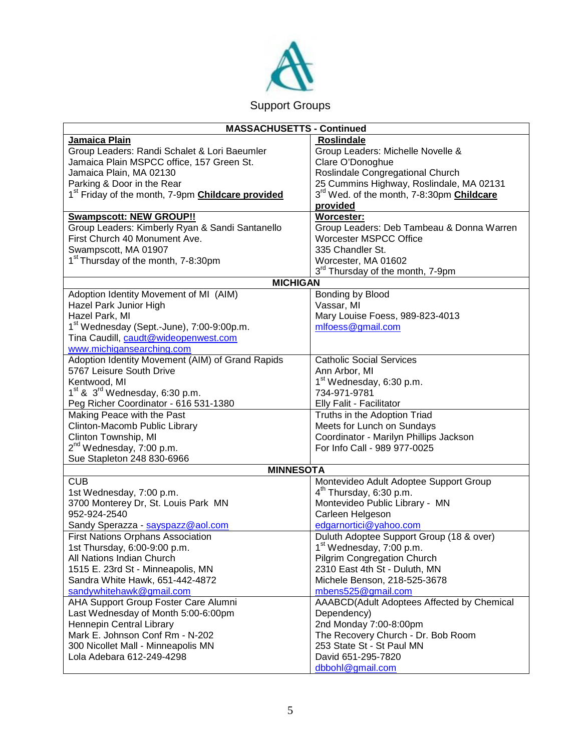

| <b>MASSACHUSETTS - Continued</b>                                     |                                                              |
|----------------------------------------------------------------------|--------------------------------------------------------------|
| Jamaica Plain                                                        | <b>Roslindale</b>                                            |
| Group Leaders: Randi Schalet & Lori Baeumler                         | Group Leaders: Michelle Novelle &                            |
| Jamaica Plain MSPCC office, 157 Green St.                            | Clare O'Donoghue                                             |
| Jamaica Plain, MA 02130                                              | Roslindale Congregational Church                             |
| Parking & Door in the Rear                                           | 25 Cummins Highway, Roslindale, MA 02131                     |
| 1 <sup>st</sup> Friday of the month, 7-9pm <b>Childcare provided</b> | 3 <sup>rd</sup> Wed. of the month, 7-8:30pm <b>Childcare</b> |
|                                                                      | provided                                                     |
| <b>Swampscott: NEW GROUP!!</b>                                       | Worcester:                                                   |
| Group Leaders: Kimberly Ryan & Sandi Santanello                      | Group Leaders: Deb Tambeau & Donna Warren                    |
| First Church 40 Monument Ave.                                        | <b>Worcester MSPCC Office</b>                                |
| Swampscott, MA 01907                                                 | 335 Chandler St.                                             |
| 1 <sup>st</sup> Thursday of the month, 7-8:30pm                      | Worcester, MA 01602                                          |
|                                                                      | 3 <sup>rd</sup> Thursday of the month, 7-9pm                 |
| <b>MICHIGAN</b>                                                      |                                                              |
| Adoption Identity Movement of MI (AIM)                               | Bonding by Blood                                             |
| Hazel Park Junior High                                               | Vassar, MI                                                   |
| Hazel Park, MI                                                       | Mary Louise Foess, 989-823-4013                              |
| 1 <sup>st</sup> Wednesday (Sept.-June), 7:00-9:00p.m.                | mlfoess@gmail.com                                            |
| Tina Caudill, caudt@wideopenwest.com                                 |                                                              |
| www.michigansearching.com                                            |                                                              |
| Adoption Identity Movement (AIM) of Grand Rapids                     | <b>Catholic Social Services</b>                              |
| 5767 Leisure South Drive                                             | Ann Arbor, MI                                                |
| Kentwood, MI                                                         | 1 <sup>st</sup> Wednesday, 6:30 p.m.                         |
| $1st$ & $3rd$ Wednesday, 6:30 p.m.                                   | 734-971-9781                                                 |
| Peg Richer Coordinator - 616 531-1380                                | Elly Falit - Facilitator                                     |
| Making Peace with the Past                                           | Truths in the Adoption Triad                                 |
| Clinton-Macomb Public Library                                        | Meets for Lunch on Sundays                                   |
| Clinton Township, MI                                                 | Coordinator - Marilyn Phillips Jackson                       |
| 2 <sup>nd</sup> Wednesday, 7:00 p.m.                                 | For Info Call - 989 977-0025                                 |
| Sue Stapleton 248 830-6966                                           |                                                              |
| <b>MINNESOTA</b>                                                     |                                                              |
| <b>CUB</b>                                                           | Montevideo Adult Adoptee Support Group                       |
| 1st Wednesday, 7:00 p.m.                                             | $4th$ Thursday, 6:30 p.m.                                    |
| 3700 Monterey Dr, St. Louis Park MN                                  | Montevideo Public Library - MN                               |
| 952-924-2540                                                         | Carleen Helgeson                                             |
| Sandy Sperazza - sayspazz@aol.com                                    | edgarnortici@yahoo.com                                       |
| <b>First Nations Orphans Association</b>                             | Duluth Adoptee Support Group (18 & over)                     |
| 1st Thursday, 6:00-9:00 p.m.                                         | 1 <sup>st</sup> Wednesday, 7:00 p.m.                         |
| All Nations Indian Church                                            | <b>Pilgrim Congregation Church</b>                           |
| 1515 E. 23rd St - Minneapolis, MN                                    | 2310 East 4th St - Duluth, MN                                |
| Sandra White Hawk, 651-442-4872                                      | Michele Benson, 218-525-3678                                 |
| sandywhitehawk@gmail.com                                             | mbens525@gmail.com                                           |
| AHA Support Group Foster Care Alumni                                 | AAABCD(Adult Adoptees Affected by Chemical                   |
| Last Wednesday of Month 5:00-6:00pm                                  | Dependency)                                                  |
| Hennepin Central Library                                             | 2nd Monday 7:00-8:00pm                                       |
| Mark E. Johnson Conf Rm - N-202                                      | The Recovery Church - Dr. Bob Room                           |
| 300 Nicollet Mall - Minneapolis MN                                   | 253 State St - St Paul MN                                    |
| Lola Adebara 612-249-4298                                            | David 651-295-7820                                           |
|                                                                      | dbbohl@gmail.com                                             |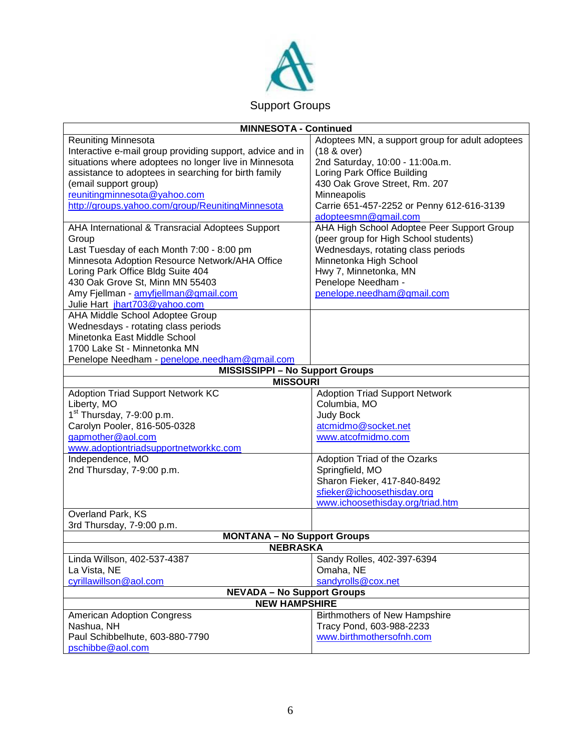

| <b>MINNESOTA - Continued</b>                              |                                                 |  |
|-----------------------------------------------------------|-------------------------------------------------|--|
| <b>Reuniting Minnesota</b>                                | Adoptees MN, a support group for adult adoptees |  |
| Interactive e-mail group providing support, advice and in | (18 & over)                                     |  |
| situations where adoptees no longer live in Minnesota     | 2nd Saturday, 10:00 - 11:00a.m.                 |  |
| assistance to adoptees in searching for birth family      | Loring Park Office Building                     |  |
| (email support group)                                     | 430 Oak Grove Street, Rm. 207                   |  |
| reunitingminnesota@yahoo.com                              | Minneapolis                                     |  |
| http://groups.yahoo.com/group/ReunitingMinnesota          | Carrie 651-457-2252 or Penny 612-616-3139       |  |
|                                                           | adopteesmn@gmail.com                            |  |
| AHA International & Transracial Adoptees Support          | AHA High School Adoptee Peer Support Group      |  |
| Group                                                     | (peer group for High School students)           |  |
| Last Tuesday of each Month 7:00 - 8:00 pm                 | Wednesdays, rotating class periods              |  |
| Minnesota Adoption Resource Network/AHA Office            | Minnetonka High School                          |  |
| Loring Park Office Bldg Suite 404                         | Hwy 7, Minnetonka, MN                           |  |
| 430 Oak Grove St, Minn MN 55403                           | Penelope Needham -                              |  |
| Amy Fjellman - amyfjellman@gmail.com                      | penelope.needham@gmail.com                      |  |
| Julie Hart jhart703@yahoo.com                             |                                                 |  |
| AHA Middle School Adoptee Group                           |                                                 |  |
| Wednesdays - rotating class periods                       |                                                 |  |
| Minetonka East Middle School                              |                                                 |  |
| 1700 Lake St - Minnetonka MN                              |                                                 |  |
| Penelope Needham - penelope.needham@gmail.com             |                                                 |  |
| <b>MISSISSIPPI - No Support Groups</b>                    |                                                 |  |
| <b>MISSOURI</b>                                           |                                                 |  |
| <b>Adoption Triad Support Network KC</b>                  | <b>Adoption Triad Support Network</b>           |  |
| Liberty, MO                                               | Columbia, MO                                    |  |
| 1 <sup>st</sup> Thursday, 7-9:00 p.m.                     |                                                 |  |
|                                                           | <b>Judy Bock</b>                                |  |
| Carolyn Pooler, 816-505-0328                              | atcmidmo@socket.net                             |  |
| gapmother@aol.com                                         | www.atcofmidmo.com                              |  |
| www.adoptiontriadsupportnetworkkc.com                     |                                                 |  |
| Independence, MO                                          | Adoption Triad of the Ozarks                    |  |
| 2nd Thursday, 7-9:00 p.m.                                 | Springfield, MO                                 |  |
|                                                           | Sharon Fieker, 417-840-8492                     |  |
|                                                           | sfieker@ichoosethisday.org                      |  |
|                                                           | www.ichoosethisday.org/triad.htm                |  |
| Overland Park, KS                                         |                                                 |  |
| 3rd Thursday, 7-9:00 p.m.                                 |                                                 |  |
| <b>MONTANA - No Support Groups</b>                        |                                                 |  |
| <b>NEBRASKA</b>                                           |                                                 |  |
| Linda Willson, 402-537-4387                               | Sandy Rolles, 402-397-6394                      |  |
| La Vista, NE                                              | Omaha, NE                                       |  |
| cyrillawillson@aol.com                                    | sandyrolls@cox.net                              |  |
| <b>NEVADA - No Support Groups</b>                         |                                                 |  |
| <b>NEW HAMPSHIRE</b>                                      |                                                 |  |
| <b>American Adoption Congress</b>                         | <b>Birthmothers of New Hampshire</b>            |  |
| Nashua, NH                                                | Tracy Pond, 603-988-2233                        |  |
| Paul Schibbelhute, 603-880-7790                           | www.birthmothersofnh.com                        |  |
| pschibbe@aol.com                                          |                                                 |  |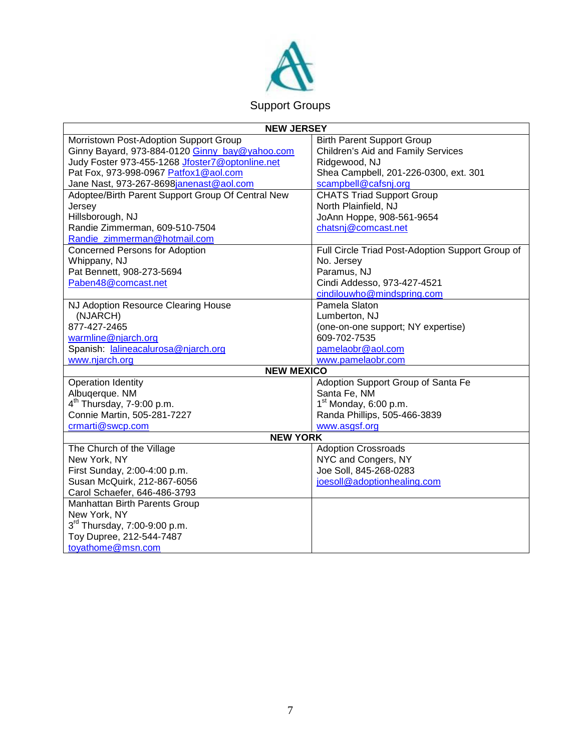

| <b>NEW JERSEY</b>                                 |                                                  |
|---------------------------------------------------|--------------------------------------------------|
| Morristown Post-Adoption Support Group            | <b>Birth Parent Support Group</b>                |
| Ginny Bayard, 973-884-0120 Ginny_bay@yahoo.com    | Children's Aid and Family Services               |
| Judy Foster 973-455-1268 Jfoster7@optonline.net   | Ridgewood, NJ                                    |
| Pat Fox, 973-998-0967 Patfox1@aol.com             | Shea Campbell, 201-226-0300, ext. 301            |
| Jane Nast, 973-267-8698janenast@aol.com           | scampbell@cafsnj.org                             |
| Adoptee/Birth Parent Support Group Of Central New | <b>CHATS Triad Support Group</b>                 |
| Jersey                                            | North Plainfield, NJ                             |
| Hillsborough, NJ                                  | JoAnn Hoppe, 908-561-9654                        |
| Randie Zimmerman, 609-510-7504                    | chatsnj@comcast.net                              |
| Randie zimmerman@hotmail.com                      |                                                  |
| <b>Concerned Persons for Adoption</b>             | Full Circle Triad Post-Adoption Support Group of |
| Whippany, NJ                                      | No. Jersey                                       |
| Pat Bennett, 908-273-5694                         | Paramus, NJ                                      |
| Paben48@comcast.net                               | Cindi Addesso, 973-427-4521                      |
|                                                   | cindilouwho@mindspring.com                       |
| NJ Adoption Resource Clearing House               | Pamela Slaton                                    |
| (NJARCH)                                          | Lumberton, NJ                                    |
| 877-427-2465                                      | (one-on-one support; NY expertise)               |
| warmline@njarch.org                               | 609-702-7535                                     |
| Spanish: lalineacalurosa@njarch.org               | pamelaobr@aol.com                                |
| www.njarch.org                                    | www.pamelaobr.com                                |
| <b>NEW MEXICO</b>                                 |                                                  |
| Operation Identity                                | Adoption Support Group of Santa Fe               |
| Albuqerque. NM                                    | Santa Fe, NM                                     |
| $4th$ Thursday, 7-9:00 p.m.                       | $1st$ Monday, 6:00 p.m.                          |
| Connie Martin, 505-281-7227                       | Randa Phillips, 505-466-3839                     |
| crmarti@swcp.com                                  | www.asgsf.org                                    |
| <b>NEW YORK</b>                                   |                                                  |
| The Church of the Village                         | <b>Adoption Crossroads</b>                       |
| New York, NY                                      | NYC and Congers, NY                              |
| First Sunday, 2:00-4:00 p.m.                      | Joe Soll, 845-268-0283                           |
| Susan McQuirk, 212-867-6056                       | joesoll@adoptionhealing.com                      |
| Carol Schaefer, 646-486-3793                      |                                                  |
| Manhattan Birth Parents Group                     |                                                  |
| New York, NY                                      |                                                  |
| 3rd Thursday, 7:00-9:00 p.m.                      |                                                  |
| Toy Dupree, 212-544-7487                          |                                                  |
| toyathome@msn.com                                 |                                                  |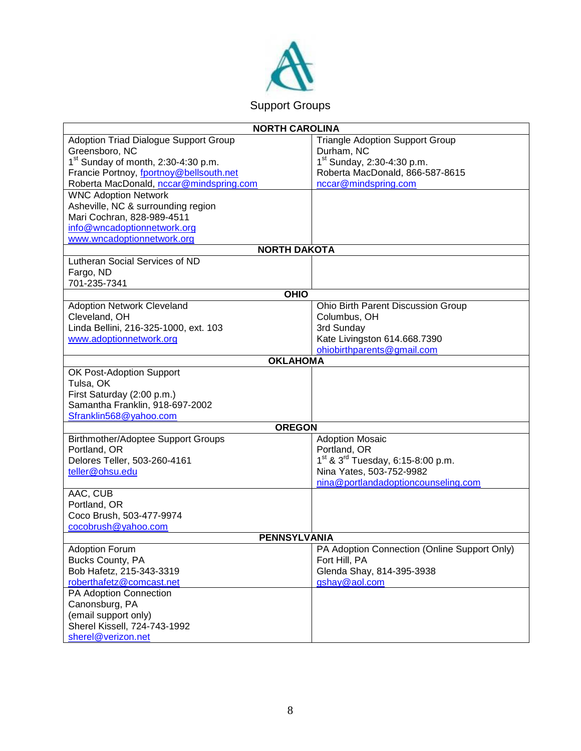

| <b>NORTH CAROLINA</b>                        |                                                           |
|----------------------------------------------|-----------------------------------------------------------|
| <b>Adoption Triad Dialogue Support Group</b> | <b>Triangle Adoption Support Group</b>                    |
| Greensboro, NC                               | Durham, NC                                                |
| $1st$ Sunday of month, 2:30-4:30 p.m.        | 1 <sup>st</sup> Sunday, 2:30-4:30 p.m.                    |
| Francie Portnoy, fportnoy@bellsouth.net      | Roberta MacDonald, 866-587-8615                           |
| Roberta MacDonald, nccar@mindspring.com      | nccar@mindspring.com                                      |
| <b>WNC Adoption Network</b>                  |                                                           |
| Asheville, NC & surrounding region           |                                                           |
| Mari Cochran, 828-989-4511                   |                                                           |
| info@wncadoptionnetwork.org                  |                                                           |
| www.wncadoptionnetwork.org                   |                                                           |
| <b>NORTH DAKOTA</b>                          |                                                           |
| Lutheran Social Services of ND               |                                                           |
| Fargo, ND                                    |                                                           |
| 701-235-7341                                 |                                                           |
| <b>OHIO</b>                                  |                                                           |
| <b>Adoption Network Cleveland</b>            | Ohio Birth Parent Discussion Group                        |
| Cleveland, OH                                | Columbus, OH                                              |
| Linda Bellini, 216-325-1000, ext. 103        | 3rd Sunday                                                |
| www.adoptionnetwork.org                      | Kate Livingston 614.668.7390                              |
|                                              | ohiobirthparents@gmail.com                                |
| <b>OKLAHOMA</b>                              |                                                           |
| OK Post-Adoption Support                     |                                                           |
| Tulsa, OK                                    |                                                           |
| First Saturday (2:00 p.m.)                   |                                                           |
| Samantha Franklin, 918-697-2002              |                                                           |
| Sfranklin568@yahoo.com                       |                                                           |
| <b>OREGON</b>                                |                                                           |
| Birthmother/Adoptee Support Groups           | <b>Adoption Mosaic</b>                                    |
| Portland, OR                                 | Portland, OR                                              |
| Delores Teller, 503-260-4161                 | 1 <sup>st</sup> & 3 <sup>rd</sup> Tuesday, 6:15-8:00 p.m. |
| teller@ohsu.edu                              | Nina Yates, 503-752-9982                                  |
|                                              | nina@portlandadoptioncounseling.com                       |
| AAC, CUB                                     |                                                           |
| Portland, OR                                 |                                                           |
| Coco Brush, 503-477-9974                     |                                                           |
| cocobrush@yahoo.com                          |                                                           |
| <b>PENNSYLVANIA</b>                          |                                                           |
| <b>Adoption Forum</b>                        | PA Adoption Connection (Online Support Only)              |
| Bucks County, PA                             | Fort Hill, PA                                             |
| Bob Hafetz, 215-343-3319                     | Glenda Shay, 814-395-3938                                 |
| roberthafetz@comcast.net                     | gshay@aol.com                                             |
| PA Adoption Connection                       |                                                           |
| Canonsburg, PA                               |                                                           |
| (email support only)                         |                                                           |
| Sherel Kissell, 724-743-1992                 |                                                           |
| sherel@verizon.net                           |                                                           |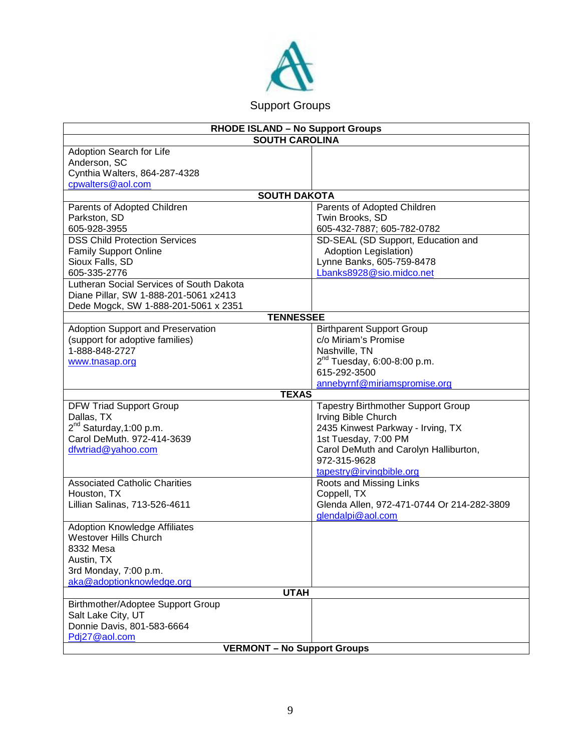

| <b>RHODE ISLAND - No Support Groups</b>  |                                            |
|------------------------------------------|--------------------------------------------|
| <b>SOUTH CAROLINA</b>                    |                                            |
| Adoption Search for Life                 |                                            |
| Anderson, SC                             |                                            |
| Cynthia Walters, 864-287-4328            |                                            |
| cpwalters@aol.com                        |                                            |
| <b>SOUTH DAKOTA</b>                      |                                            |
| Parents of Adopted Children              | Parents of Adopted Children                |
| Parkston, SD                             | Twin Brooks, SD                            |
| 605-928-3955                             | 605-432-7887; 605-782-0782                 |
| <b>DSS Child Protection Services</b>     | SD-SEAL (SD Support, Education and         |
| <b>Family Support Online</b>             | <b>Adoption Legislation)</b>               |
| Sioux Falls, SD                          | Lynne Banks, 605-759-8478                  |
| 605-335-2776                             | Lbanks8928@sio.midco.net                   |
| Lutheran Social Services of South Dakota |                                            |
| Diane Pillar, SW 1-888-201-5061 x2413    |                                            |
| Dede Mogck, SW 1-888-201-5061 x 2351     |                                            |
| <b>TENNESSEE</b>                         |                                            |
| Adoption Support and Preservation        | <b>Birthparent Support Group</b>           |
| (support for adoptive families)          | c/o Miriam's Promise                       |
| 1-888-848-2727                           | Nashville, TN                              |
| www.tnasap.org                           | $2^{nd}$ Tuesday, 6:00-8:00 p.m.           |
|                                          | 615-292-3500                               |
|                                          | annebyrnf@miriamspromise.org               |
| <b>TEXAS</b>                             |                                            |
| <b>DFW Triad Support Group</b>           | <b>Tapestry Birthmother Support Group</b>  |
| Dallas, TX                               | Irving Bible Church                        |
| 2 <sup>nd</sup> Saturday, 1:00 p.m.      | 2435 Kinwest Parkway - Irving, TX          |
| Carol DeMuth. 972-414-3639               | 1st Tuesday, 7:00 PM                       |
| dfwtriad@yahoo.com                       | Carol DeMuth and Carolyn Halliburton,      |
|                                          | 972-315-9628                               |
|                                          | tapestry@irvingbible.org                   |
| <b>Associated Catholic Charities</b>     | Roots and Missing Links                    |
| Houston, TX                              | Coppell, TX                                |
| Lillian Salinas, 713-526-4611            | Glenda Allen, 972-471-0744 Or 214-282-3809 |
|                                          | glendalpi@aol.com                          |
| <b>Adoption Knowledge Affiliates</b>     |                                            |
| <b>Westover Hills Church</b>             |                                            |
| 8332 Mesa                                |                                            |
| Austin, TX                               |                                            |
| 3rd Monday, 7:00 p.m.                    |                                            |
| aka@adoptionknowledge.org                |                                            |
| <b>UTAH</b>                              |                                            |
| Birthmother/Adoptee Support Group        |                                            |
| Salt Lake City, UT                       |                                            |
| Donnie Davis, 801-583-6664               |                                            |
| Pdi27@aol.com                            |                                            |
| <b>VERMONT - No Support Groups</b>       |                                            |